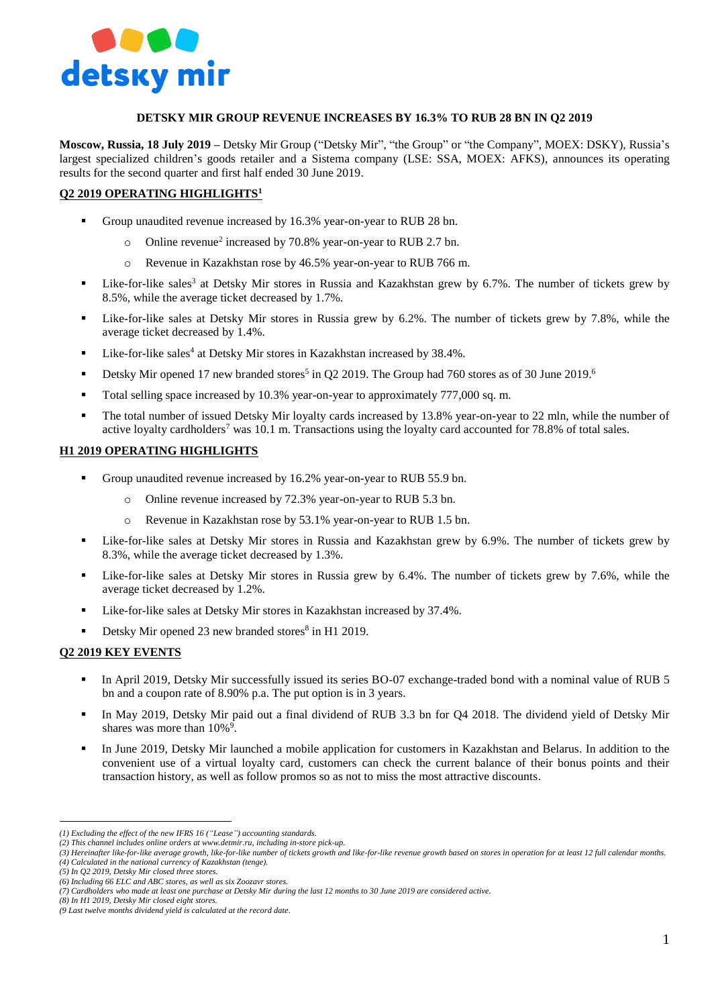

# **DETSKY MIR GROUP REVENUE INCREASES BY 16.3% TO RUB 28 BN IN Q2 2019**

**Moscow, Russia, 18 July 2019 –** Detsky Mir Group ("Detsky Mir", "the Group" or "the Company", MOEX: DSKY), Russia's largest specialized children's goods retailer and a Sistema company (LSE: SSA, MOEX: AFKS), announces its operating results for the second quarter and first half ended 30 June 2019.

# **Q2 2019 OPERATING HIGHLIGHTS<sup>1</sup>**

- Group unaudited revenue increased by 16.3% year-on-year to RUB 28 bn.
	- o Online revenue<sup>2</sup> increased by 70.8% year-on-year to RUB 2.7 bn.
	- o Revenue in Kazakhstan rose by 46.5% year-on-year to RUB 766 m.
- Like-for-like sales<sup>3</sup> at Detsky Mir stores in Russia and Kazakhstan grew by 6.7%. The number of tickets grew by 8.5%, while the average ticket decreased by 1.7%.
- Like-for-like sales at Detsky Mir stores in Russia grew by 6.2%. The number of tickets grew by 7.8%, while the average ticket decreased by 1.4%.
- $\blacksquare$  Like-for-like sales<sup>4</sup> at Detsky Mir stores in Kazakhstan increased by 38.4%.
- Detsky Mir opened 17 new branded stores<sup>5</sup> in Q2 2019. The Group had 760 stores as of 30 June 2019.<sup>6</sup>
- Total selling space increased by 10.3% year-on-year to approximately 777,000 sq. m.
- The total number of issued Detsky Mir loyalty cards increased by 13.8% year-on-year to 22 mln, while the number of active loyalty cardholders<sup>7</sup> was 10.1 m. Transactions using the loyalty card accounted for 78.8% of total sales.

# **H1 2019 OPERATING HIGHLIGHTS**

- Group unaudited revenue increased by 16.2% year-on-year to RUB 55.9 bn.
	- Online revenue increased by 72.3% year-on-year to RUB 5.3 bn.
	- o Revenue in Kazakhstan rose by 53.1% year-on-year to RUB 1.5 bn.
- Like-for-like sales at Detsky Mir stores in Russia and Kazakhstan grew by 6.9%. The number of tickets grew by 8.3%, while the average ticket decreased by 1.3%.
- Like-for-like sales at Detsky Mir stores in Russia grew by 6.4%. The number of tickets grew by 7.6%, while the average ticket decreased by 1.2%.
- Like-for-like sales at Detsky Mir stores in Kazakhstan increased by 37.4%.
- Detsky Mir opened 23 new branded stores<sup>8</sup> in H1 2019.

# **Q2 2019 KEY EVENTS**

- In April 2019, Detsky Mir successfully issued its series BO-07 exchange-traded bond with a nominal value of RUB 5 bn and a coupon rate of 8.90% p.a. The put option is in 3 years.
- In May 2019, Detsky Mir paid out a final dividend of RUB 3.3 bn for Q4 2018. The dividend yield of Detsky Mir shares was more than  $10\%$ <sup>9</sup>.
- In June 2019, Detsky Mir launched a mobile application for customers in Kazakhstan and Belarus. In addition to the convenient use of a virtual loyalty card, customers can check the current balance of their bonus points and their transaction history, as well as follow promos so as not to miss the most attractive discounts.

 $\overline{a}$ *(1) Excluding the effect of the new IFRS 16 ("Lease") accounting standards.* 

*<sup>(2)</sup> This channel includes online orders at [www.detmir.ru,](http://www.detmir.ru/) including in-store pick-up.*

*<sup>(3)</sup> Hereinafter like-for-like average growth, like-for-like number of tickets growth and like-for-like revenue growth based on stores in operation for at least 12 full calendar months. (4) Calculated in the national currency of Kazakhstan (tenge).*

*<sup>(5)</sup> In Q2 2019, Detsky Mir closed three stores.*

*<sup>(6)</sup> Including 66 ELC and ABC stores, as well as six Zoozavr stores.* 

*<sup>(7)</sup> Cardholders who made at least one purchase at Detsky Mir during the last 12 months to 30 June 2019 are considered active.* 

*<sup>(8)</sup> In H1 2019, Detsky Mir closed eight stores.*

*<sup>(9</sup> Last twelve months dividend yield is calculated at the record date*.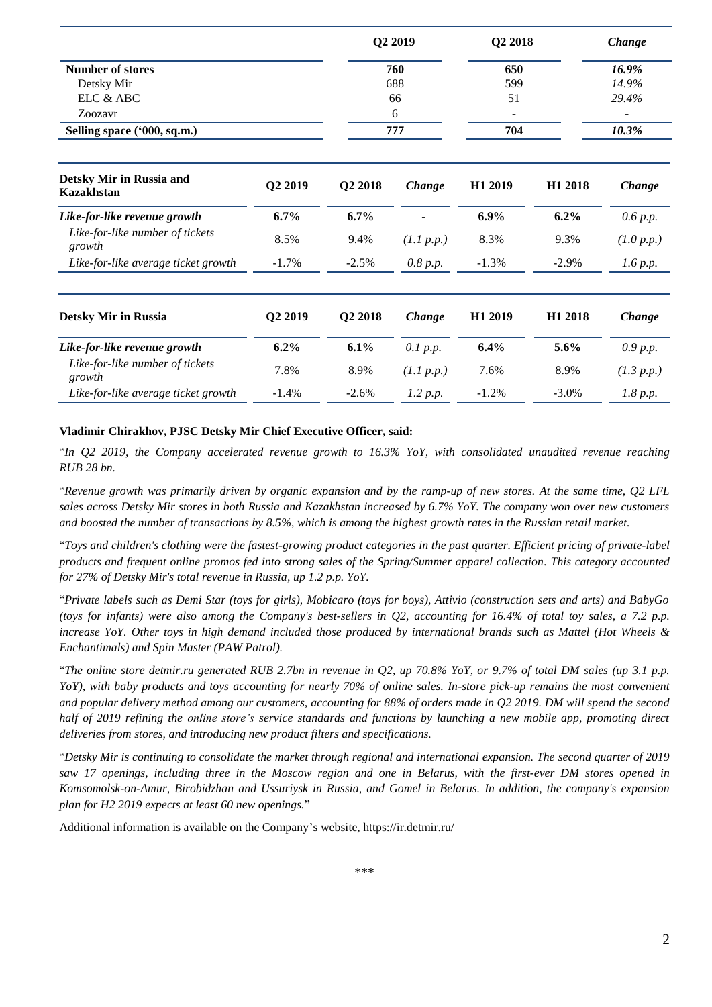|                                                                      |          | Q2 2019<br>760<br>688<br>66<br>6<br>777 |            | Q2 2018<br>650<br>599<br>51<br>704 |         | Change<br>16.9%<br>14.9%<br>29.4%<br>10.3% |                                               |         |         |            |         |                     |            |
|----------------------------------------------------------------------|----------|-----------------------------------------|------------|------------------------------------|---------|--------------------------------------------|-----------------------------------------------|---------|---------|------------|---------|---------------------|------------|
| <b>Number of stores</b>                                              |          |                                         |            |                                    |         |                                            |                                               |         |         |            |         |                     |            |
| Detsky Mir<br>ELC $\&$ ABC<br>Zoozavr<br>Selling space ('000, sq.m.) |          |                                         |            |                                    |         |                                            |                                               |         |         |            |         |                     |            |
|                                                                      |          |                                         |            |                                    |         |                                            | Detsky Mir in Russia and<br><b>Kazakhstan</b> | Q2 2019 | Q2 2018 | Change     | H1 2019 | H <sub>1</sub> 2018 | Change     |
|                                                                      |          |                                         |            |                                    |         |                                            | Like-for-like revenue growth                  | 6.7%    | 6.7%    |            | 6.9%    | 6.2%                | 0.6 p.p.   |
|                                                                      |          |                                         |            |                                    |         |                                            | Like-for-like number of tickets<br>growth     | 8.5%    | 9.4%    | (1.1 p.p.) | 8.3%    | 9.3%                | (1.0 p.p.) |
| Like-for-like average ticket growth                                  | $-1.7\%$ | $-2.5%$                                 | 0.8 p.p.   | $-1.3%$                            | $-2.9%$ | 1.6 p.p.                                   |                                               |         |         |            |         |                     |            |
| <b>Detsky Mir in Russia</b>                                          | Q2 2019  | Q2 2018                                 | Change     | H1 2019                            | H1 2018 | Change                                     |                                               |         |         |            |         |                     |            |
| Like-for-like revenue growth                                         | 6.2%     | 6.1%                                    | 0.1 p.p.   | 6.4%                               | 5.6%    | 0.9 p.p.                                   |                                               |         |         |            |         |                     |            |
| Like-for-like number of tickets<br>growth                            | 7.8%     | 8.9%                                    | (1.1 p.p.) | 7.6%                               | 8.9%    | (1.3 p.p.)                                 |                                               |         |         |            |         |                     |            |
| Like-for-like average ticket growth                                  | $-1.4%$  | $-2.6%$                                 | 1.2 p.p.   | $-1.2%$                            | $-3.0%$ | 1.8 p.p.                                   |                                               |         |         |            |         |                     |            |

# **Vladimir Chirakhov, PJSC Detsky Mir Chief Executive Officer, said:**

"*In Q2 2019, the Company accelerated revenue growth to 16.3% YoY, with consolidated unaudited revenue reaching RUB 28 bn.* 

"*Revenue growth was primarily driven by organic expansion and by the ramp-up of new stores. At the same time, Q2 LFL sales across Detsky Mir stores in both Russia and Kazakhstan increased by 6.7% YoY. The company won over new customers and boosted the number of transactions by 8.5%, which is among the highest growth rates in the Russian retail market.* 

"*Toys and children's clothing were the fastest-growing product categories in the past quarter. Efficient pricing of private-label products and frequent online promos fed into strong sales of the Spring/Summer apparel collection. This category accounted for 27% of Detsky Mir's total revenue in Russia, up 1.2 p.p. YoY.*

"*Private labels such as Demi Star (toys for girls), Mobicaro (toys for boys), Attivio (construction sets and arts) and BabyGo (toys for infants) were also among the Company's best-sellers in Q2, accounting for 16.4% of total toy sales, a 7.2 p.p. increase YoY. Other toys in high demand included those produced by international brands such as Mattel (Hot Wheels & Enchantimals) and Spin Master (PAW Patrol).* 

"*The online store detmir.ru generated RUB 2.7bn in revenue in Q2, up 70.8% YoY, or 9.7% of total DM sales (up 3.1 p.p. YoY), with baby products and toys accounting for nearly 70% of online sales. In-store pick-up remains the most convenient and popular delivery method among our customers, accounting for 88% of orders made in Q2 2019. DM will spend the second half of 2019 refining the online store's service standards and functions by launching a new mobile app, promoting direct deliveries from stores, and introducing new product filters and specifications.* 

"*Detsky Mir is continuing to consolidate the market through regional and international expansion. The second quarter of 2019 saw 17 openings, including three in the Moscow region and one in Belarus, with the first-ever DM stores opened in Komsomolsk-on-Amur, Birobidzhan and Ussuriysk in Russia, and Gomel in Belarus. In addition, the company's expansion plan for H2 2019 expects at least 60 new openings.*"

Additional information is available on the Company's website, https://ir.detmir.ru/